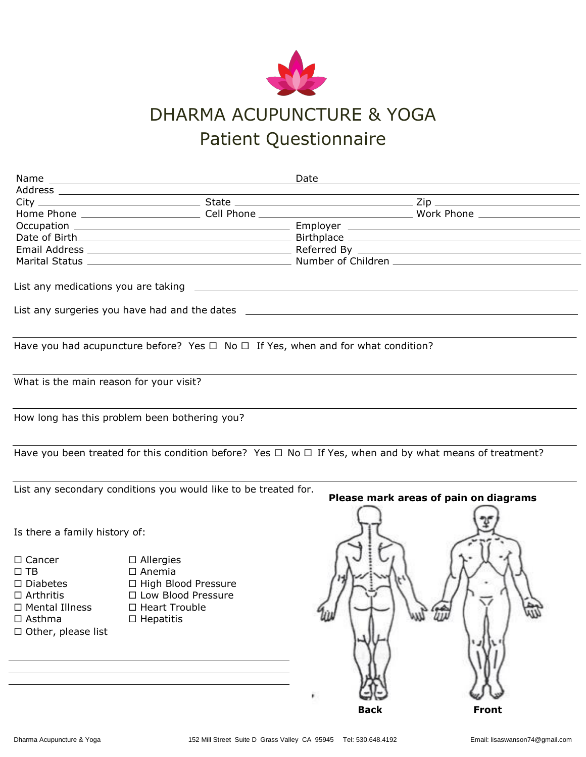

## DHARMA ACUPUNCTURE & YOGA Patient Questionnaire

|                                         |                                                                                            | Date        | the control of the control of the control of the control of the control of the control of the control of the control of the control of the control of the control of the control of the control of the control of the control |
|-----------------------------------------|--------------------------------------------------------------------------------------------|-------------|-------------------------------------------------------------------------------------------------------------------------------------------------------------------------------------------------------------------------------|
|                                         |                                                                                            |             |                                                                                                                                                                                                                               |
|                                         |                                                                                            |             |                                                                                                                                                                                                                               |
|                                         |                                                                                            |             |                                                                                                                                                                                                                               |
|                                         |                                                                                            |             |                                                                                                                                                                                                                               |
|                                         |                                                                                            |             |                                                                                                                                                                                                                               |
|                                         |                                                                                            |             |                                                                                                                                                                                                                               |
|                                         |                                                                                            |             |                                                                                                                                                                                                                               |
|                                         |                                                                                            |             |                                                                                                                                                                                                                               |
|                                         |                                                                                            |             |                                                                                                                                                                                                                               |
|                                         |                                                                                            |             |                                                                                                                                                                                                                               |
|                                         |                                                                                            |             |                                                                                                                                                                                                                               |
|                                         | Have you had acupuncture before? Yes $\Box$ No $\Box$ If Yes, when and for what condition? |             |                                                                                                                                                                                                                               |
| What is the main reason for your visit? |                                                                                            |             |                                                                                                                                                                                                                               |
|                                         | How long has this problem been bothering you?                                              |             |                                                                                                                                                                                                                               |
|                                         |                                                                                            |             | Have you been treated for this condition before? Yes $\Box$ No $\Box$ If Yes, when and by what means of treatment?                                                                                                            |
|                                         | List any secondary conditions you would like to be treated for.                            |             | Please mark areas of pain on diagrams                                                                                                                                                                                         |
| Is there a family history of:           |                                                                                            |             |                                                                                                                                                                                                                               |
| $\Box$ Cancer                           | $\Box$ Allergies                                                                           |             |                                                                                                                                                                                                                               |
| $\Box$ TB                               | $\Box$ Anemia                                                                              |             |                                                                                                                                                                                                                               |
| $\Box$ Diabetes                         | □ High Blood Pressure                                                                      |             |                                                                                                                                                                                                                               |
| $\Box$ Arthritis                        | □ Low Blood Pressure                                                                       |             |                                                                                                                                                                                                                               |
| □ Mental Illness                        | □ Heart Trouble                                                                            |             |                                                                                                                                                                                                                               |
| $\Box$ Asthma                           | $\Box$ Hepatitis                                                                           |             |                                                                                                                                                                                                                               |
| $\Box$ Other, please list               |                                                                                            |             |                                                                                                                                                                                                                               |
|                                         |                                                                                            |             |                                                                                                                                                                                                                               |
|                                         |                                                                                            |             |                                                                                                                                                                                                                               |
|                                         |                                                                                            |             |                                                                                                                                                                                                                               |
|                                         |                                                                                            |             |                                                                                                                                                                                                                               |
|                                         |                                                                                            |             |                                                                                                                                                                                                                               |
|                                         |                                                                                            |             |                                                                                                                                                                                                                               |
|                                         |                                                                                            | <b>Back</b> | <b>Front</b>                                                                                                                                                                                                                  |
|                                         |                                                                                            |             |                                                                                                                                                                                                                               |